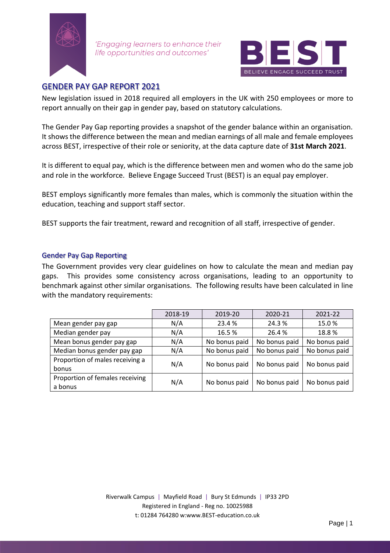

'Engaging learners to enhance their life opportunities and outcomes'



## GENDER PAY GAP REPORT 2021

New legislation issued in 2018 required all employers in the UK with 250 employees or more to report annually on their gap in gender pay, based on statutory calculations.

The Gender Pay Gap reporting provides a snapshot of the gender balance within an organisation. It shows the difference between the mean and median earnings of all male and female employees across BEST, irrespective of their role or seniority, at the data capture date of **31st March 2021**.

It is different to equal pay, which is the difference between men and women who do the same job and role in the workforce. Believe Engage Succeed Trust (BEST) is an equal pay employer.

BEST employs significantly more females than males, which is commonly the situation within the education, teaching and support staff sector.

BEST supports the fair treatment, reward and recognition of all staff, irrespective of gender.

## Gender Pay Gap Reporting

The Government provides very clear guidelines on how to calculate the mean and median pay gaps. This provides some consistency across organisations, leading to an opportunity to benchmark against other similar organisations. The following results have been calculated in line with the mandatory requirements:

|                                 | 2018-19 | 2019-20       | 2020-21       | 2021-22       |  |
|---------------------------------|---------|---------------|---------------|---------------|--|
| Mean gender pay gap             | N/A     | 23.4%         | 24.3 %        | 15.0%         |  |
| Median gender pay               | N/A     | 16.5%         | 26.4%         | 18.8%         |  |
| Mean bonus gender pay gap       | N/A     | No bonus paid | No bonus paid | No bonus paid |  |
| Median bonus gender pay gap     | N/A     | No bonus paid | No bonus paid | No bonus paid |  |
| Proportion of males receiving a | N/A     | No bonus paid | No bonus paid | No bonus paid |  |
| bonus                           |         |               |               |               |  |
| Proportion of females receiving | N/A     | No bonus paid | No bonus paid | No bonus paid |  |
| a bonus                         |         |               |               |               |  |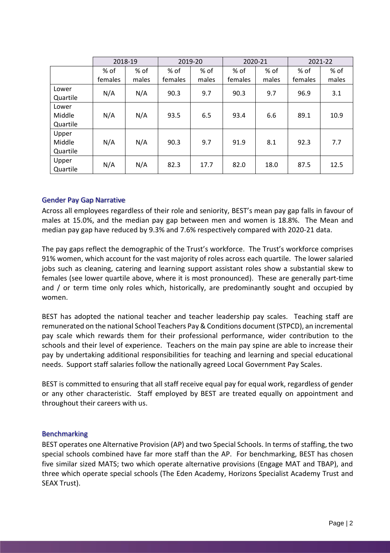|                             | 2018-19 |       | 2019-20 |       | 2020-21 |       | 2021-22 |       |
|-----------------------------|---------|-------|---------|-------|---------|-------|---------|-------|
|                             | % of    | % of  | % of    | % of  | % of    | % of  | % of    | % of  |
|                             | females | males | females | males | females | males | females | males |
| Lower<br>Quartile           | N/A     | N/A   | 90.3    | 9.7   | 90.3    | 9.7   | 96.9    | 3.1   |
| Lower<br>Middle<br>Quartile | N/A     | N/A   | 93.5    | 6.5   | 93.4    | 6.6   | 89.1    | 10.9  |
| Upper<br>Middle<br>Quartile | N/A     | N/A   | 90.3    | 9.7   | 91.9    | 8.1   | 92.3    | 7.7   |
| Upper<br>Quartile           | N/A     | N/A   | 82.3    | 17.7  | 82.0    | 18.0  | 87.5    | 12.5  |

## Gender Pay Gap Narrative

Across all employees regardless of their role and seniority, BEST's mean pay gap falls in favour of males at 15.0%, and the median pay gap between men and women is 18.8%. The Mean and median pay gap have reduced by 9.3% and 7.6% respectively compared with 2020-21 data.

The pay gaps reflect the demographic of the Trust's workforce. The Trust's workforce comprises 91% women, which account for the vast majority of roles across each quartile. The lower salaried jobs such as cleaning, catering and learning support assistant roles show a substantial skew to females (see lower quartile above, where it is most pronounced). These are generally part-time and / or term time only roles which, historically, are predominantly sought and occupied by women.

BEST has adopted the national teacher and teacher leadership pay scales. Teaching staff are remunerated on the national School Teachers Pay & Conditions document (STPCD), an incremental pay scale which rewards them for their professional performance, wider contribution to the schools and their level of experience. Teachers on the main pay spine are able to increase their pay by undertaking additional responsibilities for teaching and learning and special educational needs. Support staff salaries follow the nationally agreed Local Government Pay Scales.

BEST is committed to ensuring that all staff receive equal pay for equal work, regardless of gender or any other characteristic. Staff employed by BEST are treated equally on appointment and throughout their careers with us.

## Benchmarking

BEST operates one Alternative Provision (AP) and two Special Schools. In terms of staffing, the two special schools combined have far more staff than the AP. For benchmarking, BEST has chosen five similar sized MATS; two which operate alternative provisions (Engage MAT and TBAP), and three which operate special schools (The Eden Academy, Horizons Specialist Academy Trust and SEAX Trust).